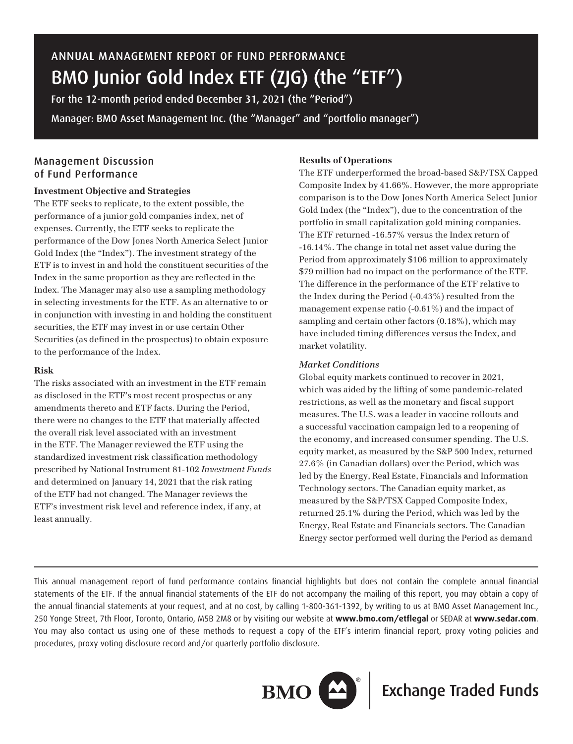# ANNUAL MANAGEMENT REPORT OF FUND PERFORMANCE BMO Junior Gold Index ETF (ZJG) (the "ETF")

For the 12-month period ended December 31, 2021 (the "Period") Manager: BMO Asset Management Inc. (the "Manager" and "portfolio manager")

## Management Discussion of Fund Performance

## **Investment Objective and Strategies**

The ETF seeks to replicate, to the extent possible, the performance of a junior gold companies index, net of expenses. Currently, the ETF seeks to replicate the performance of the Dow Jones North America Select Junior Gold Index (the "Index"). The investment strategy of the ETF is to invest in and hold the constituent securities of the Index in the same proportion as they are reflected in the Index. The Manager may also use a sampling methodology in selecting investments for the ETF. As an alternative to or in conjunction with investing in and holding the constituent securities, the ETF may invest in or use certain Other Securities (as defined in the prospectus) to obtain exposure to the performance of the Index.

#### **Risk**

The risks associated with an investment in the ETF remain as disclosed in the ETF's most recent prospectus or any amendments thereto and ETF facts. During the Period, there were no changes to the ETF that materially affected the overall risk level associated with an investment in the ETF. The Manager reviewed the ETF using the standardized investment risk classification methodology prescribed by National Instrument 81-102 *Investment Funds* and determined on January 14, 2021 that the risk rating of the ETF had not changed. The Manager reviews the ETF's investment risk level and reference index, if any, at least annually.

## **Results of Operations**

The ETF underperformed the broad-based S&P/TSX Capped Composite Index by 41.66%. However, the more appropriate comparison is to the Dow Jones North America Select Junior Gold Index (the "Index"), due to the concentration of the portfolio in small capitalization gold mining companies. The ETF returned -16.57% versus the Index return of -16.14%. The change in total net asset value during the Period from approximately \$106 million to approximately \$79 million had no impact on the performance of the ETF. The difference in the performance of the ETF relative to the Index during the Period (-0.43%) resulted from the management expense ratio (-0.61%) and the impact of sampling and certain other factors (0.18%), which may have included timing differences versus the Index, and market volatility.

## *Market Conditions*

Global equity markets continued to recover in 2021, which was aided by the lifting of some pandemic-related restrictions, as well as the monetary and fiscal support measures. The U.S. was a leader in vaccine rollouts and a successful vaccination campaign led to a reopening of the economy, and increased consumer spending. The U.S. equity market, as measured by the S&P 500 Index, returned 27.6% (in Canadian dollars) over the Period, which was led by the Energy, Real Estate, Financials and Information Technology sectors. The Canadian equity market, as measured by the S&P/TSX Capped Composite Index, returned 25.1% during the Period, which was led by the Energy, Real Estate and Financials sectors. The Canadian Energy sector performed well during the Period as demand

This annual management report of fund performance contains financial highlights but does not contain the complete annual financial statements of the ETF. If the annual financial statements of the ETF do not accompany the mailing of this report, you may obtain a copy of the annual financial statements at your request, and at no cost, by calling 1-800-361-1392, by writing to us at BMO Asset Management Inc., 250 Yonge Street, 7th Floor, Toronto, Ontario, M5B 2M8 or by visiting our website at **www.bmo.com/etflegal** or SEDAR at **www.sedar.com**. You may also contact us using one of these methods to request a copy of the ETF's interim financial report, proxy voting policies and procedures, proxy voting disclosure record and/or quarterly portfolio disclosure.



**BMO**  $\boxed{\triangle}$  **Exchange Traded Funds**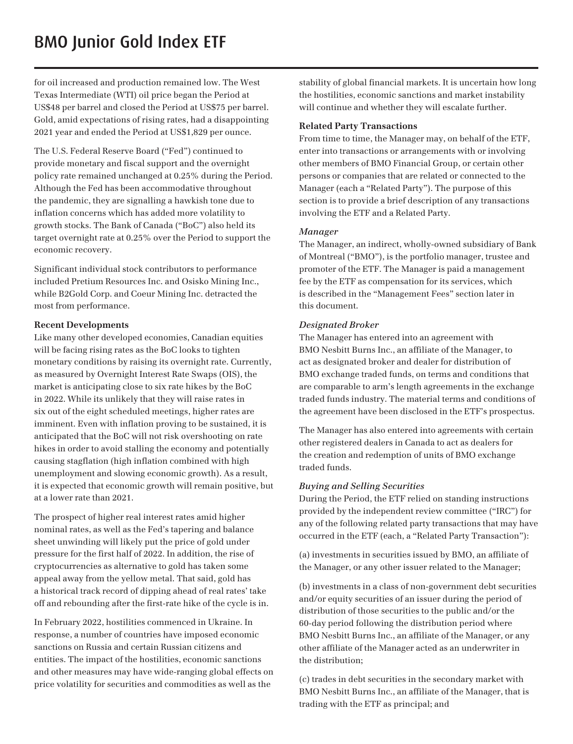for oil increased and production remained low. The West Texas Intermediate (WTI) oil price began the Period at US\$48 per barrel and closed the Period at US\$75 per barrel. Gold, amid expectations of rising rates, had a disappointing 2021 year and ended the Period at US\$1,829 per ounce.

The U.S. Federal Reserve Board ("Fed") continued to provide monetary and fiscal support and the overnight policy rate remained unchanged at 0.25% during the Period. Although the Fed has been accommodative throughout the pandemic, they are signalling a hawkish tone due to inflation concerns which has added more volatility to growth stocks. The Bank of Canada ("BoC") also held its target overnight rate at 0.25% over the Period to support the economic recovery.

Significant individual stock contributors to performance included Pretium Resources Inc. and Osisko Mining Inc., while B2Gold Corp. and Coeur Mining Inc. detracted the most from performance.

#### **Recent Developments**

Like many other developed economies, Canadian equities will be facing rising rates as the BoC looks to tighten monetary conditions by raising its overnight rate. Currently, as measured by Overnight Interest Rate Swaps (OIS), the market is anticipating close to six rate hikes by the BoC in 2022. While its unlikely that they will raise rates in six out of the eight scheduled meetings, higher rates are imminent. Even with inflation proving to be sustained, it is anticipated that the BoC will not risk overshooting on rate hikes in order to avoid stalling the economy and potentially causing stagflation (high inflation combined with high unemployment and slowing economic growth). As a result, it is expected that economic growth will remain positive, but at a lower rate than 2021.

The prospect of higher real interest rates amid higher nominal rates, as well as the Fed's tapering and balance sheet unwinding will likely put the price of gold under pressure for the first half of 2022. In addition, the rise of cryptocurrencies as alternative to gold has taken some appeal away from the yellow metal. That said, gold has a historical track record of dipping ahead of real rates' take off and rebounding after the first-rate hike of the cycle is in.

In February 2022, hostilities commenced in Ukraine. In response, a number of countries have imposed economic sanctions on Russia and certain Russian citizens and entities. The impact of the hostilities, economic sanctions and other measures may have wide-ranging global effects on price volatility for securities and commodities as well as the

stability of global financial markets. It is uncertain how long the hostilities, economic sanctions and market instability will continue and whether they will escalate further.

## **Related Party Transactions**

From time to time, the Manager may, on behalf of the ETF, enter into transactions or arrangements with or involving other members of BMO Financial Group, or certain other persons or companies that are related or connected to the Manager (each a "Related Party"). The purpose of this section is to provide a brief description of any transactions involving the ETF and a Related Party.

#### *Manager*

The Manager, an indirect, wholly-owned subsidiary of Bank of Montreal ("BMO"), is the portfolio manager, trustee and promoter of the ETF. The Manager is paid a management fee by the ETF as compensation for its services, which is described in the "Management Fees" section later in this document.

#### *Designated Broker*

The Manager has entered into an agreement with BMO Nesbitt Burns Inc., an affiliate of the Manager, to act as designated broker and dealer for distribution of BMO exchange traded funds, on terms and conditions that are comparable to arm's length agreements in the exchange traded funds industry. The material terms and conditions of the agreement have been disclosed in the ETF's prospectus.

The Manager has also entered into agreements with certain other registered dealers in Canada to act as dealers for the creation and redemption of units of BMO exchange traded funds.

## *Buying and Selling Securities*

During the Period, the ETF relied on standing instructions provided by the independent review committee ("IRC") for any of the following related party transactions that may have occurred in the ETF (each, a "Related Party Transaction"):

(a) investments in securities issued by BMO, an affiliate of the Manager, or any other issuer related to the Manager;

(b) investments in a class of non-government debt securities and/or equity securities of an issuer during the period of distribution of those securities to the public and/or the 60-day period following the distribution period where BMO Nesbitt Burns Inc., an affiliate of the Manager, or any other affiliate of the Manager acted as an underwriter in the distribution;

(c) trades in debt securities in the secondary market with BMO Nesbitt Burns Inc., an affiliate of the Manager, that is trading with the ETF as principal; and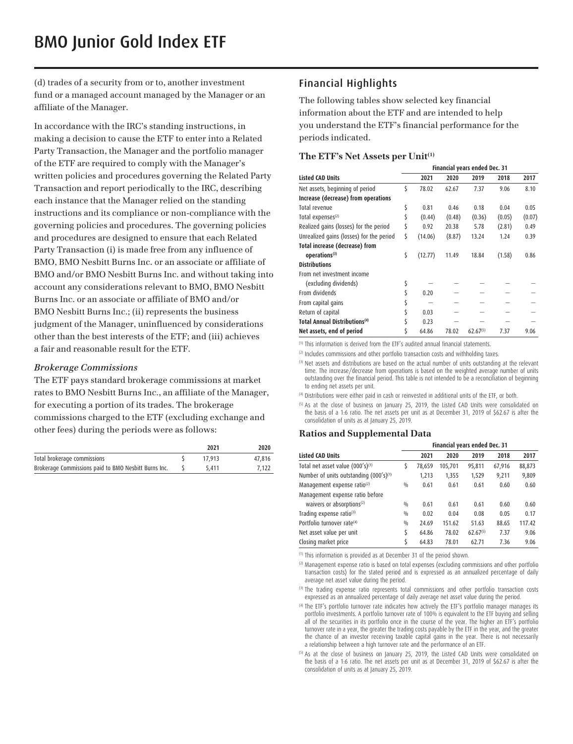(d) trades of a security from or to, another investment fund or a managed account managed by the Manager or an affiliate of the Manager.

In accordance with the IRC's standing instructions, in making a decision to cause the ETF to enter into a Related Party Transaction, the Manager and the portfolio manager of the ETF are required to comply with the Manager's written policies and procedures governing the Related Party Transaction and report periodically to the IRC, describing each instance that the Manager relied on the standing instructions and its compliance or non-compliance with the governing policies and procedures. The governing policies and procedures are designed to ensure that each Related Party Transaction (i) is made free from any influence of BMO, BMO Nesbitt Burns Inc. or an associate or affiliate of BMO and/or BMO Nesbitt Burns Inc. and without taking into account any considerations relevant to BMO, BMO Nesbitt Burns Inc. or an associate or affiliate of BMO and/or BMO Nesbitt Burns Inc.; (ii) represents the business judgment of the Manager, uninfluenced by considerations other than the best interests of the ETF; and (iii) achieves a fair and reasonable result for the ETF.

#### *Brokerage Commissions*

The ETF pays standard brokerage commissions at market rates to BMO Nesbitt Burns Inc., an affiliate of the Manager, for executing a portion of its trades. The brokerage commissions charged to the ETF (excluding exchange and other fees) during the periods were as follows:

|                                                      | 2021   | 2020   |
|------------------------------------------------------|--------|--------|
| Total brokerage commissions                          | 17.913 | 47.816 |
| Brokerage Commissions paid to BMO Nesbitt Burns Inc. | 5.411  | 7.122  |

## Financial Highlights

The following tables show selected key financial information about the ETF and are intended to help you understand the ETF's financial performance for the periods indicated.

#### **The ETF's Net Assets per Unit(1)**

|                                           | Financial years ended Dec. 31 |         |        |               |        |        |
|-------------------------------------------|-------------------------------|---------|--------|---------------|--------|--------|
| <b>Listed CAD Units</b>                   |                               | 2021    | 2020   | 2019          | 2018   | 2017   |
| Net assets, beginning of period           | Ś                             | 78.02   | 62.67  | 7.37          | 9.06   | 8.10   |
| Increase (decrease) from operations       |                               |         |        |               |        |        |
| Total revenue                             | \$                            | 0.81    | 0.46   | 0.18          | 0.04   | 0.05   |
| Total expenses <sup>(2)</sup>             | \$                            | (0.44)  | (0.48) | (0.36)        | (0.05) | (0.07) |
| Realized gains (losses) for the period    | \$                            | 0.92    | 20.38  | 5.78          | (2.81) | 0.49   |
| Unrealized gains (losses) for the period  | \$                            | (14.06) | (8.87) | 13.24         | 1.24   | 0.39   |
| Total increase (decrease) from            |                               |         |        |               |        |        |
| operations <sup>(3)</sup>                 | \$                            | (12.77) | 11.49  | 18.84         | (1.58) | 0.86   |
| <b>Distributions</b>                      |                               |         |        |               |        |        |
| From net investment income                |                               |         |        |               |        |        |
| (excluding dividends)                     | \$                            |         |        |               |        |        |
| From dividends                            |                               | 0.20    |        |               |        |        |
| From capital gains                        |                               |         |        |               |        |        |
| Return of capital                         |                               | 0.03    |        |               |        |        |
| Total Annual Distributions <sup>(4)</sup> |                               | 0.23    |        |               |        |        |
| Net assets, end of period                 |                               | 64.86   | 78.02  | $62.67^{(5)}$ | 7.37   | 9.06   |

(1) This information is derived from the ETF's audited annual financial statements.

<sup>(2)</sup> Includes commissions and other portfolio transaction costs and withholding taxes.

<sup>(3)</sup> Net assets and distributions are based on the actual number of units outstanding at the relevant time. The increase/decrease from operations is based on the weighted average number of units outstanding over the financial period. This table is not intended to be a reconciliation of beginning to ending net assets per unit.

(4) Distributions were either paid in cash or reinvested in additional units of the ETF, or both.

<sup>(5)</sup> As at the close of business on January 25, 2019, the Listed CAD Units were consolidated on the basis of a 1:6 ratio. The net assets per unit as at December 31, 2019 of \$62.67 is after the consolidation of units as at January 25, 2019.

#### **Ratios and Supplemental Data**

|                                              |     | Financial years ended Dec. 31 |         |               |        |        |  |
|----------------------------------------------|-----|-------------------------------|---------|---------------|--------|--------|--|
| <b>Listed CAD Units</b>                      |     | 2021                          | 2020    | 2019          | 2018   | 2017   |  |
| Total net asset value (000's) <sup>(1)</sup> | \$  | 78,659                        | 105,701 | 95,811        | 67,916 | 88,873 |  |
| Number of units outstanding $(000's)^{(1)}$  |     | 1,213                         | 1,355   | 1,529         | 9,211  | 9,809  |  |
| Management expense ratio <sup>(2)</sup>      | 0/0 | 0.61                          | 0.61    | 0.61          | 0.60   | 0.60   |  |
| Management expense ratio before              |     |                               |         |               |        |        |  |
| waivers or absorptions <sup>(2)</sup>        | 0/0 | 0.61                          | 0.61    | 0.61          | 0.60   | 0.60   |  |
| Trading expense ratio(3)                     | 0/0 | 0.02                          | 0.04    | 0.08          | 0.05   | 0.17   |  |
| Portfolio turnover rate <sup>(4)</sup>       | 0/0 | 24.69                         | 151.62  | 51.63         | 88.65  | 117.42 |  |
| Net asset value per unit                     | Ś   | 64.86                         | 78.02   | $62.67^{(5)}$ | 7.37   | 9.06   |  |
| Closing market price                         |     | 64.83                         | 78.01   | 62.71         | 7.36   | 9.06   |  |

(1) This information is provided as at December 31 of the period shown.

(2) Management expense ratio is based on total expenses (excluding commissions and other portfolio transaction costs) for the stated period and is expressed as an annualized percentage of daily average net asset value during the period.

(3) The trading expense ratio represents total commissions and other portfolio transaction costs expressed as an annualized percentage of daily average net asset value during the period.

(4) The ETF's portfolio turnover rate indicates how actively the ETF's portfolio manager manages its portfolio investments. A portfolio turnover rate of 100% is equivalent to the ETF buying and selling all of the securities in its portfolio once in the course of the year. The higher an ETF's portfolio turnover rate in a year, the greater the trading costs payable by the ETF in the year, and the greater the chance of an investor receiving taxable capital gains in the year. There is not necessarily a relationship between a high turnover rate and the performance of an ETF.

<sup>(5)</sup> As at the close of business on January 25, 2019, the Listed CAD Units were consolidated on the basis of a 1:6 ratio. The net assets per unit as at December 31, 2019 of \$62.67 is after the consolidation of units as at January 25, 2019.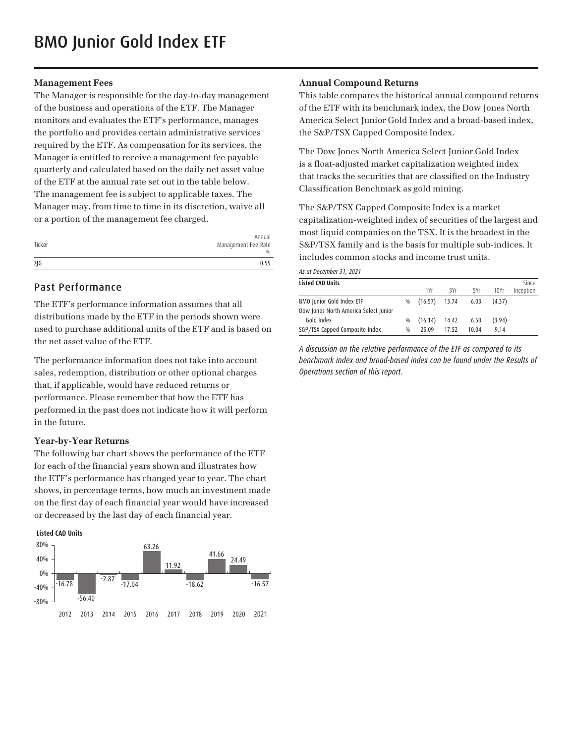#### **Management Fees**

The Manager is responsible for the day-to-day management of the business and operations of the ETF. The Manager monitors and evaluates the ETF's performance, manages the portfolio and provides certain administrative services required by the ETF. As compensation for its services, the Manager is entitled to receive a management fee payable quarterly and calculated based on the daily net asset value of the ETF at the annual rate set out in the table below. The management fee is subject to applicable taxes. The Manager may, from time to time in its discretion, waive all or a portion of the management fee charged.

| Ticker | Annual<br>Management Fee Rate<br>$\frac{0}{0}$ |
|--------|------------------------------------------------|
| ZJG    | 0.55                                           |

## Past Performance

The ETF's performance information assumes that all distributions made by the ETF in the periods shown were used to purchase additional units of the ETF and is based on the net asset value of the ETF.

The performance information does not take into account sales, redemption, distribution or other optional charges that, if applicable, would have reduced returns or performance. Please remember that how the ETF has performed in the past does not indicate how it will perform in the future.

## **Year-by-Year Returns**

The following bar chart shows the performance of the ETF for each of the financial years shown and illustrates how the ETF's performance has changed year to year. The chart shows, in percentage terms, how much an investment made on the first day of each financial year would have increased or decreased by the last day of each financial year.





#### **Annual Compound Returns**

This table compares the historical annual compound returns of the ETF with its benchmark index, the Dow Jones North America Select Junior Gold Index and a broad-based index, the S&P/TSX Capped Composite Index.

The Dow Jones North America Select Junior Gold Index is a float-adjusted market capitalization weighted index that tracks the securities that are classified on the Industry Classification Benchmark as gold mining.

The S&P/TSX Capped Composite Index is a market capitalization-weighted index of securities of the largest and most liquid companies on the TSX. It is the broadest in the S&P/TSX family and is the basis for multiple sub-indices. It includes common stocks and income trust units.

*As at December 31, 2021*

| <b>Listed CAD Units</b>               |               |                 |       |       |        | Since     |
|---------------------------------------|---------------|-----------------|-------|-------|--------|-----------|
|                                       |               | 1Yr             | 3Yr   | 5Yr   | 10Yr   | Inception |
| BMO Junior Gold Index ETF             | 0/0           | $(16.57)$ 13.74 |       | 6.03  | (4.37) |           |
| Dow Jones North America Select Junior |               |                 |       |       |        |           |
| Gold Index                            | $\frac{0}{0}$ | (16.14)         | 14.42 | 6.50  | (3.94) |           |
| S&P/TSX Capped Composite Index        | 0/0           | 25.09           | 17.52 | 10 04 | 9.14   |           |

*A discussion on the relative performance of the ETF as compared to its benchmark index and broad-based index can be found under the Results of Operations section of this report.*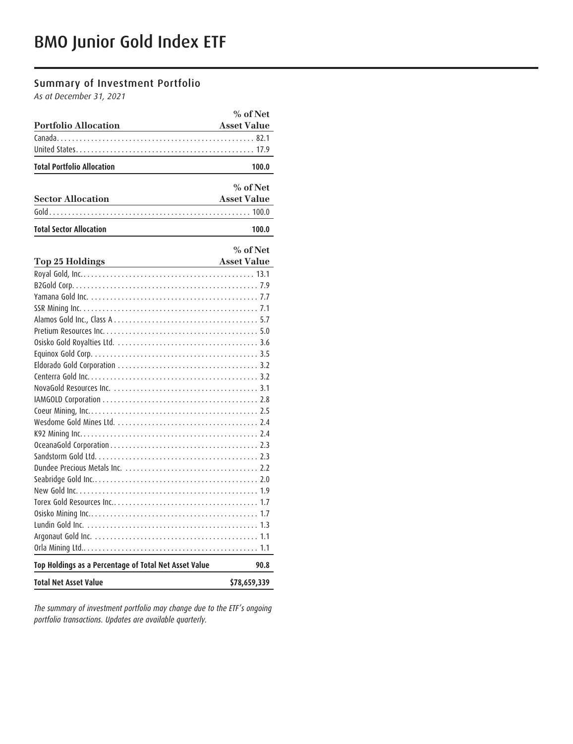# Summary of Investment Portfolio

*As at December 31, 2021*

|                                                                           | % of Net           |
|---------------------------------------------------------------------------|--------------------|
| <b>Portfolio Allocation</b>                                               | <b>Asset Value</b> |
|                                                                           |                    |
|                                                                           |                    |
| <b>Total Portfolio Allocation</b>                                         | 100.0              |
|                                                                           |                    |
|                                                                           | % of Net           |
| <b>Sector Allocation</b>                                                  | <b>Asset Value</b> |
|                                                                           |                    |
| <b>Total Sector Allocation</b><br><u> 1980 - Johann Barbara, martxa a</u> | 100.0              |
|                                                                           |                    |
|                                                                           | % of Net           |
| Top 25 Holdings Asset Value                                               |                    |
|                                                                           |                    |
|                                                                           |                    |
|                                                                           |                    |
|                                                                           |                    |
|                                                                           |                    |
|                                                                           |                    |
|                                                                           |                    |
|                                                                           |                    |
|                                                                           |                    |
|                                                                           |                    |
|                                                                           |                    |
|                                                                           |                    |
|                                                                           |                    |
|                                                                           |                    |
|                                                                           |                    |
|                                                                           |                    |
|                                                                           |                    |
|                                                                           |                    |
|                                                                           |                    |
|                                                                           |                    |
|                                                                           |                    |
|                                                                           |                    |
|                                                                           |                    |
|                                                                           |                    |
|                                                                           |                    |
| Top Holdings as a Percentage of Total Net Asset Value                     | 90.8               |
| <b>Total Net Asset Value</b>                                              | \$78,659,339       |

*The summary of investment portfolio may change due to the ETF's ongoing portfolio transactions. Updates are available quarterly.*